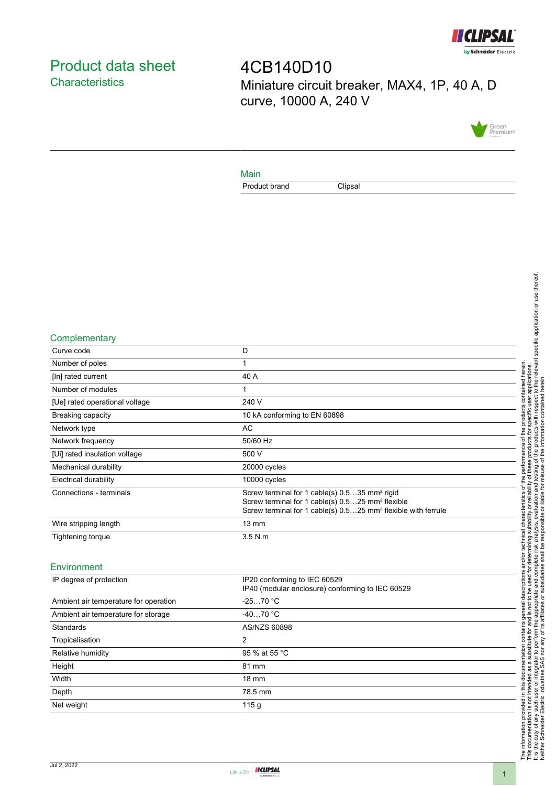

# <span id="page-0-0"></span>Product data sheet **Characteristics**

4CB140D10 Miniature circuit breaker, MAX4, 1P, 40 A, D curve, 10000 A, 240 V



#### Main

Product brand Clipsal

#### **Complementary**

| Curve code                     | D                                                                                                                                                                                                      |
|--------------------------------|--------------------------------------------------------------------------------------------------------------------------------------------------------------------------------------------------------|
| Number of poles                |                                                                                                                                                                                                        |
| [In] rated current             | 40 A                                                                                                                                                                                                   |
| Number of modules              |                                                                                                                                                                                                        |
| [Ue] rated operational voltage | 240 V                                                                                                                                                                                                  |
| <b>Breaking capacity</b>       | 10 kA conforming to EN 60898                                                                                                                                                                           |
| Network type                   | AC                                                                                                                                                                                                     |
| Network frequency              | 50/60 Hz                                                                                                                                                                                               |
| [Ui] rated insulation voltage  | 500 V                                                                                                                                                                                                  |
| Mechanical durability          | 20000 cycles                                                                                                                                                                                           |
| <b>Electrical durability</b>   | 10000 cycles                                                                                                                                                                                           |
| Connections - terminals        | Screw terminal for 1 cable(s) 0.535 mm <sup>2</sup> rigid<br>Screw terminal for 1 cable(s) 0.525 mm <sup>2</sup> flexible<br>Screw terminal for 1 cable(s) 0.525 mm <sup>2</sup> flexible with ferrule |
| Wire stripping length          | $13 \text{ mm}$                                                                                                                                                                                        |
| Tightening torque              | $3.5$ N.m                                                                                                                                                                                              |
|                                |                                                                                                                                                                                                        |

### Environment

| IP degree of protection               | IP20 conforming to IEC 60529<br>IP40 (modular enclosure) conforming to IEC 60529 |  |
|---------------------------------------|----------------------------------------------------------------------------------|--|
| Ambient air temperature for operation | $-2570 °C$                                                                       |  |
| Ambient air temperature for storage   | $-4070 °C$                                                                       |  |
| Standards                             | AS/NZS 60898                                                                     |  |
| Tropicalisation                       | 2                                                                                |  |
| Relative humidity                     | 95 % at 55 °C                                                                    |  |
| Height                                | 81 mm                                                                            |  |
| Width                                 | $18 \text{ mm}$                                                                  |  |
| Depth                                 | 78.5 mm                                                                          |  |
| Net weight                            | 115q                                                                             |  |
|                                       |                                                                                  |  |